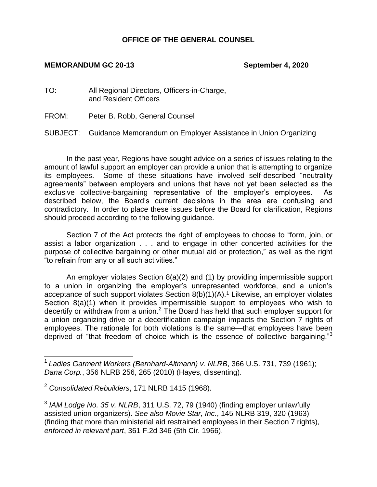#### **OFFICE OF THE GENERAL COUNSEL**

#### **MEMORANDUM GC 20-13 September 4, 2020**

- TO: All Regional Directors, Officers-in-Charge, and Resident Officers
- FROM: Peter B. Robb, General Counsel

SUBJECT: Guidance Memorandum on Employer Assistance in Union Organizing

In the past year, Regions have sought advice on a series of issues relating to the amount of lawful support an employer can provide a union that is attempting to organize its employees. Some of these situations have involved self-described "neutrality agreements" between employers and unions that have not yet been selected as the exclusive collective-bargaining representative of the employer's employees. As described below, the Board's current decisions in the area are confusing and contradictory. In order to place these issues before the Board for clarification, Regions should proceed according to the following guidance.

Section 7 of the Act protects the right of employees to choose to "form, join, or assist a labor organization . . . and to engage in other concerted activities for the purpose of collective bargaining or other mutual aid or protection," as well as the right "to refrain from any or all such activities."

An employer violates Section 8(a)(2) and (1) by providing impermissible support to a union in organizing the employer's unrepresented workforce, and a union's acceptance of such support violates Section 8(b)(1)(A).<sup>1</sup> Likewise, an employer violates Section 8(a)(1) when it provides impermissible support to employees who wish to decertify or withdraw from a union.<sup>2</sup> The Board has held that such employer support for a union organizing drive or a decertification campaign impacts the Section 7 rights of employees. The rationale for both violations is the same—that employees have been deprived of "that freedom of choice which is the essence of collective bargaining."<sup>3</sup>

 1 *Ladies Garment Workers (Bernhard-Altmann) v. NLRB*, 366 U.S. 731, 739 (1961); *Dana Corp.*, 356 NLRB 256, 265 (2010) (Hayes, dissenting).

<sup>2</sup> *Consolidated Rebuilders*, 171 NLRB 1415 (1968).

<sup>3</sup> *IAM Lodge No. 35 v. NLRB*, 311 U.S. 72, 79 (1940) (finding employer unlawfully assisted union organizers). *See also Movie Star, Inc.*, 145 NLRB 319, 320 (1963) (finding that more than ministerial aid restrained employees in their Section 7 rights)*, enforced in relevant part*, 361 F.2d 346 (5th Cir. 1966).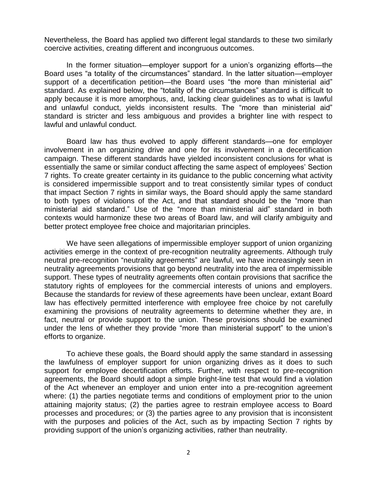Nevertheless, the Board has applied two different legal standards to these two similarly coercive activities, creating different and incongruous outcomes.

In the former situation—employer support for a union's organizing efforts—the Board uses "a totality of the circumstances" standard. In the latter situation—employer support of a decertification petition—the Board uses "the more than ministerial aid" standard. As explained below, the "totality of the circumstances" standard is difficult to apply because it is more amorphous, and, lacking clear guidelines as to what is lawful and unlawful conduct, yields inconsistent results. The "more than ministerial aid" standard is stricter and less ambiguous and provides a brighter line with respect to lawful and unlawful conduct.

Board law has thus evolved to apply different standards—one for employer involvement in an organizing drive and one for its involvement in a decertification campaign. These different standards have yielded inconsistent conclusions for what is essentially the same or similar conduct affecting the same aspect of employees' Section 7 rights. To create greater certainty in its guidance to the public concerning what activity is considered impermissible support and to treat consistently similar types of conduct that impact Section 7 rights in similar ways, the Board should apply the same standard to both types of violations of the Act, and that standard should be the "more than ministerial aid standard." Use of the "more than ministerial aid" standard in both contexts would harmonize these two areas of Board law, and will clarify ambiguity and better protect employee free choice and majoritarian principles.

We have seen allegations of impermissible employer support of union organizing activities emerge in the context of pre-recognition neutrality agreements. Although truly neutral pre-recognition "neutrality agreements" are lawful, we have increasingly seen in neutrality agreements provisions that go beyond neutrality into the area of impermissible support. These types of neutrality agreements often contain provisions that sacrifice the statutory rights of employees for the commercial interests of unions and employers. Because the standards for review of these agreements have been unclear, extant Board law has effectively permitted interference with employee free choice by not carefully examining the provisions of neutrality agreements to determine whether they are, in fact, neutral or provide support to the union. These provisions should be examined under the lens of whether they provide "more than ministerial support" to the union's efforts to organize.

To achieve these goals, the Board should apply the same standard in assessing the lawfulness of employer support for union organizing drives as it does to such support for employee decertification efforts. Further, with respect to pre-recognition agreements, the Board should adopt a simple bright-line test that would find a violation of the Act whenever an employer and union enter into a pre-recognition agreement where: (1) the parties negotiate terms and conditions of employment prior to the union attaining majority status; (2) the parties agree to restrain employee access to Board processes and procedures; or (3) the parties agree to any provision that is inconsistent with the purposes and policies of the Act, such as by impacting Section 7 rights by providing support of the union's organizing activities, rather than neutrality.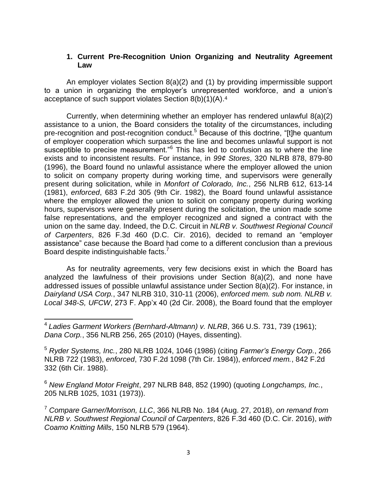#### **1. Current Pre-Recognition Union Organizing and Neutrality Agreement Law**

An employer violates Section 8(a)(2) and (1) by providing impermissible support to a union in organizing the employer's unrepresented workforce, and a union's acceptance of such support violates Section 8(b)(1)(A). 4

Currently, when determining whether an employer has rendered unlawful 8(a)(2) assistance to a union, the Board considers the totality of the circumstances, including pre-recognition and post-recognition conduct.<sup>5</sup> Because of this doctrine, "[t]he quantum of employer cooperation which surpasses the line and becomes unlawful support is not susceptible to precise measurement."<sup>6</sup> This has led to confusion as to where the line exists and to inconsistent results. For instance, in *99¢ Stores*, 320 NLRB 878, 879-80 (1996), the Board found no unlawful assistance where the employer allowed the union to solicit on company property during working time, and supervisors were generally present during solicitation, while in *Monfort of Colorado, Inc.*, 256 NLRB 612, 613-14 (1981), *enforced*, 683 F.2d 305 (9th Cir. 1982), the Board found unlawful assistance where the employer allowed the union to solicit on company property during working hours, supervisors were generally present during the solicitation, the union made some false representations, and the employer recognized and signed a contract with the union on the same day. Indeed, the D.C. Circuit in *NLRB v. Southwest Regional Council of Carpenters*, 826 F.3d 460 (D.C. Cir. 2016), decided to remand an "employer assistance" case because the Board had come to a different conclusion than a previous Board despite indistinguishable facts.<sup>7</sup>

As for neutrality agreements, very few decisions exist in which the Board has analyzed the lawfulness of their provisions under Section 8(a)(2), and none have addressed issues of possible unlawful assistance under Section 8(a)(2). For instance, in *Dairyland USA Corp.*, 347 NLRB 310, 310-11 (2006), *enforced mem. sub nom. NLRB v. Local 348-S, UFCW*, 273 F. App'x 40 (2d Cir. 2008), the Board found that the employer

<sup>6</sup> *New England Motor Freight*, 297 NLRB 848, 852 (1990) (quoting *Longchamps, Inc.*, 205 NLRB 1025, 1031 (1973)).

<sup>7</sup> *Compare Garner/Morrison, LLC*, 366 NLRB No. 184 (Aug. 27, 2018), *on remand from NLRB v. Southwest Regional Council of Carpenters*, 826 F.3d 460 (D.C. Cir. 2016), *with Coamo Knitting Mills*, 150 NLRB 579 (1964).

 4 *Ladies Garment Workers (Bernhard-Altmann) v. NLRB*, 366 U.S. 731, 739 (1961); *Dana Corp.*, 356 NLRB 256, 265 (2010) (Hayes, dissenting).

<sup>5</sup> *Ryder Systems, Inc.*, 280 NLRB 1024, 1046 (1986) (citing *Farmer's Energy Corp.*, 266 NLRB 722 (1983), *enforced*, 730 F.2d 1098 (7th Cir. 1984)), *enforced mem.*, 842 F.2d 332 (6th Cir. 1988).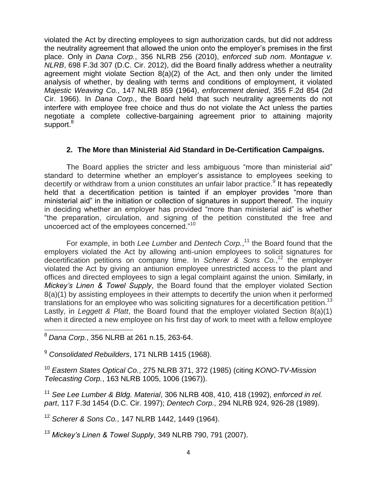violated the Act by directing employees to sign authorization cards, but did not address the neutrality agreement that allowed the union onto the employer's premises in the first place. Only in *Dana Corp.*, 356 NLRB 256 (2010), *enforced sub nom. Montague v. NLRB*, 698 F.3d 307 (D.C. Cir. 2012), did the Board finally address whether a neutrality agreement might violate Section 8(a)(2) of the Act, and then only under the limited analysis of whether, by dealing with terms and conditions of employment, it violated *Majestic Weaving Co.*, 147 NLRB 859 (1964), *enforcement denied*, 355 F.2d 854 (2d Cir. 1966). In *Dana Corp.*, the Board held that such neutrality agreements do not interfere with employee free choice and thus do not violate the Act unless the parties negotiate a complete collective-bargaining agreement prior to attaining majority support.<sup>8</sup>

### **2. The More than Ministerial Aid Standard in De-Certification Campaigns.**

The Board applies the stricter and less ambiguous "more than ministerial aid" standard to determine whether an employer's assistance to employees seeking to decertify or withdraw from a union constitutes an unfair labor practice.<sup>9</sup> It has repeatedly held that a decertification petition is tainted if an employer provides "more than ministerial aid" in the initiation or collection of signatures in support thereof. The inquiry in deciding whether an employer has provided "more than ministerial aid" is whether "the preparation, circulation, and signing of the petition constituted the free and uncoerced act of the employees concerned."<sup>10</sup>

For example, in both *Lee Lumber* and *Dentech Corp.*, <sup>11</sup> the Board found that the employers violated the Act by allowing anti-union employees to solicit signatures for decertification petitions on company time. In *Scherer & Sons Co.*, <sup>12</sup> the employer violated the Act by giving an antiunion employee unrestricted access to the plant and offices and directed employees to sign a legal complaint against the union. Similarly, in *Mickey's Linen & Towel Supply*, the Board found that the employer violated Section 8(a)(1) by assisting employees in their attempts to decertify the union when it performed translations for an employee who was soliciting signatures for a decertification petition.<sup>13</sup> Lastly, in *Leggett & Platt*, the Board found that the employer violated Section 8(a)(1) when it directed a new employee on his first day of work to meet with a fellow employee

<sup>9</sup> *Consolidated Rebuilders*, 171 NLRB 1415 (1968).

<sup>10</sup> *Eastern States Optical Co.*, 275 NLRB 371, 372 (1985) (citing *KONO-TV-Mission Telecasting Corp.*, 163 NLRB 1005, 1006 (1967)).

<sup>11</sup> *See Lee Lumber & Bldg. Material*, 306 NLRB 408, 410, 418 (1992), *enforced in rel. part*, 117 F.3d 1454 (D.C. Cir. 1997); *Dentech Corp.,* 294 NLRB 924, 926-28 (1989).

<sup>12</sup> *Scherer & Sons Co.*, 147 NLRB 1442, 1449 (1964).

<sup>13</sup> *Mickey's Linen & Towel Supply*, 349 NLRB 790, 791 (2007).

 $\overline{\phantom{a}}$ <sup>8</sup> *Dana Corp.*, 356 NLRB at 261 n.15, 263-64.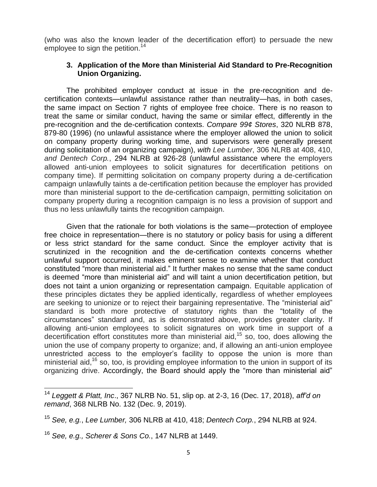(who was also the known leader of the decertification effort) to persuade the new employee to sign the petition.<sup>14</sup>

#### **3. Application of the More than Ministerial Aid Standard to Pre-Recognition Union Organizing.**

The prohibited employer conduct at issue in the pre-recognition and decertification contexts—unlawful assistance rather than neutrality—has, in both cases, the same impact on Section 7 rights of employee free choice. There is no reason to treat the same or similar conduct, having the same or similar effect, differently in the pre-recognition and the de-certification contexts. *Compare 99¢ Stores*, 320 NLRB 878, 879-80 (1996) (no unlawful assistance where the employer allowed the union to solicit on company property during working time, and supervisors were generally present during solicitation of an organizing campaign), *with Lee Lumber*, 306 NLRB at 408, 410, *and Dentech Corp.*, 294 NLRB at 926-28 (unlawful assistance where the employers allowed anti-union employees to solicit signatures for decertification petitions on company time). If permitting solicitation on company property during a de-certification campaign unlawfully taints a de-certification petition because the employer has provided more than ministerial support to the de-certification campaign, permitting solicitation on company property during a recognition campaign is no less a provision of support and thus no less unlawfully taints the recognition campaign.

Given that the rationale for both violations is the same—protection of employee free choice in representation—there is no statutory or policy basis for using a different or less strict standard for the same conduct. Since the employer activity that is scrutinized in the recognition and the de-certification contexts concerns whether unlawful support occurred, it makes eminent sense to examine whether that conduct constituted "more than ministerial aid." It further makes no sense that the same conduct is deemed "more than ministerial aid" and will taint a union decertification petition, but does not taint a union organizing or representation campaign. Equitable application of these principles dictates they be applied identically, regardless of whether employees are seeking to unionize or to reject their bargaining representative. The "ministerial aid" standard is both more protective of statutory rights than the "totality of the circumstances" standard and, as is demonstrated above, provides greater clarity. If allowing anti-union employees to solicit signatures on work time in support of a decertification effort constitutes more than ministerial aid,<sup>15</sup> so, too, does allowing the union the use of company property to organize; and, if allowing an anti-union employee unrestricted access to the employer's facility to oppose the union is more than ministerial aid,<sup>16</sup> so, too, is providing employee information to the union in support of its organizing drive. Accordingly, the Board should apply the "more than ministerial aid"

 $\overline{\phantom{a}}$ 

<sup>14</sup> *Leggett & Platt, Inc*., 367 NLRB No. 51, slip op. at 2-3, 16 (Dec. 17, 2018), *aff'd on remand*, 368 NLRB No. 132 (Dec. 9, 2019).

<sup>15</sup> *See, e.g.*, *Lee Lumber,* 306 NLRB at 410, 418; *Dentech Corp.*, 294 NLRB at 924.

<sup>16</sup> *See, e.g., Scherer & Sons Co.*, 147 NLRB at 1449.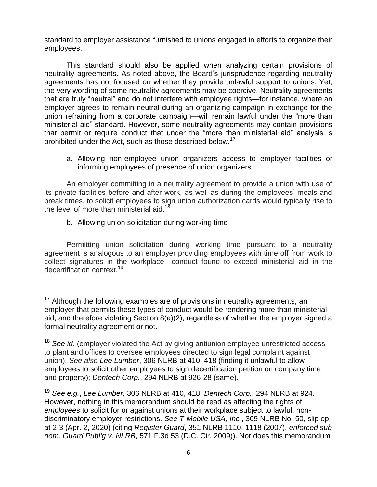standard to employer assistance furnished to unions engaged in efforts to organize their employees.

This standard should also be applied when analyzing certain provisions of neutrality agreements. As noted above, the Board's jurisprudence regarding neutrality agreements has not focused on whether they provide unlawful support to unions. Yet, the very wording of some neutrality agreements may be coercive. Neutrality agreements that are truly "neutral" and do not interfere with employee rights—for instance, where an employer agrees to remain neutral during an organizing campaign in exchange for the union refraining from a corporate campaign—will remain lawful under the "more than ministerial aid" standard. However, some neutrality agreements may contain provisions that permit or require conduct that under the "more than ministerial aid" analysis is prohibited under the Act, such as those described below.<sup>17</sup>

a. Allowing non-employee union organizers access to employer facilities or informing employees of presence of union organizers

An employer committing in a neutrality agreement to provide a union with use of its private facilities before and after work, as well as during the employees' meals and break times, to solicit employees to sign union authorization cards would typically rise to the level of more than ministerial aid.<sup>18</sup>

b. Allowing union solicitation during working time

l

Permitting union solicitation during working time pursuant to a neutrality agreement is analogous to an employer providing employees with time off from work to collect signatures in the workplace—conduct found to exceed ministerial aid in the decertification context. 19

<sup>17</sup> Although the following examples are of provisions in neutrality agreements, an employer that permits these types of conduct would be rendering more than ministerial aid, and therefore violating Section 8(a)(2), regardless of whether the employer signed a formal neutrality agreement or not.

<sup>18</sup> See *id.* (employer violated the Act by giving antiunion employee unrestricted access to plant and offices to oversee employees directed to sign legal complaint against union). *See also Lee Lumber*, 306 NLRB at 410, 418 (finding it unlawful to allow employees to solicit other employees to sign decertification petition on company time and property); *Dentech Corp.*, 294 NLRB at 926-28 (same).

<sup>19</sup> *See e.g.*, *Lee Lumber,* 306 NLRB at 410, 418; *Dentech Corp.*, 294 NLRB at 924. However, nothing in this memorandum should be read as affecting the rights of *employees* to solicit for or against unions at their workplace subject to lawful, nondiscriminatory employer restrictions. *See T-Mobile USA, Inc.*, 369 NLRB No. 50, slip op. at 2-3 (Apr. 2, 2020) (citing *Register Guard*, 351 NLRB 1110, 1118 (2007), *enforced sub nom. Guard Publ'g v. NLRB*, 571 F.3d 53 (D.C. Cir. 2009)). Nor does this memorandum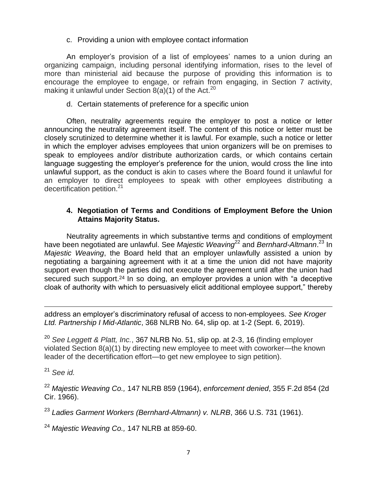#### c. Providing a union with employee contact information

An employer's provision of a list of employees' names to a union during an organizing campaign, including personal identifying information, rises to the level of more than ministerial aid because the purpose of providing this information is to encourage the employee to engage, or refrain from engaging, in Section 7 activity, making it unlawful under Section  $8(a)(1)$  of the Act.<sup>20</sup>

d. Certain statements of preference for a specific union

Often, neutrality agreements require the employer to post a notice or letter announcing the neutrality agreement itself. The content of this notice or letter must be closely scrutinized to determine whether it is lawful. For example, such a notice or letter in which the employer advises employees that union organizers will be on premises to speak to employees and/or distribute authorization cards, or which contains certain language suggesting the employer's preference for the union, would cross the line into unlawful support, as the conduct is akin to cases where the Board found it unlawful for an employer to direct employees to speak with other employees distributing a decertification petition.<sup>21</sup>

## **4. Negotiation of Terms and Conditions of Employment Before the Union Attains Majority Status.**

Neutrality agreements in which substantive terms and conditions of employment have been negotiated are unlawful. See Majestic Weaving<sup>22</sup> and Bernhard-Altmann.<sup>23</sup> In *Majestic Weaving*, the Board held that an employer unlawfully assisted a union by negotiating a bargaining agreement with it at a time the union did not have majority support even though the parties did not execute the agreement until after the union had secured such support.<sup>24</sup> In so doing, an employer provides a union with "a deceptive cloak of authority with which to persuasively elicit additional employee support," thereby

 $\overline{\phantom{a}}$ address an employer's discriminatory refusal of access to non-employees. *See Kroger Ltd. Partnership I Mid-Atlantic*, 368 NLRB No. 64, slip op. at 1-2 (Sept. 6, 2019).

<sup>20</sup> *See Leggett & Platt, Inc.*, 367 NLRB No. 51, slip op. at 2-3, 16 (finding employer violated Section 8(a)(1) by directing new employee to meet with coworker—the known leader of the decertification effort—to get new employee to sign petition).

<sup>21</sup> *See id.*

<sup>22</sup> *Majestic Weaving Co.,* 147 NLRB 859 (1964), *enforcement denied*, 355 F.2d 854 (2d Cir. 1966).

<sup>23</sup> *Ladies Garment Workers (Bernhard-Altmann) v. NLRB*, 366 U.S. 731 (1961).

<sup>24</sup> *Majestic Weaving Co.,* 147 NLRB at 859-60.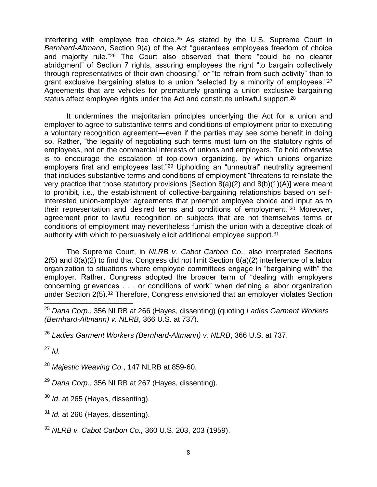interfering with employee free choice.<sup>25</sup> As stated by the U.S. Supreme Court in *Bernhard-Altmann*, Section 9(a) of the Act "guarantees employees freedom of choice and majority rule."<sup>26</sup> The Court also observed that there "could be no clearer abridgment" of Section 7 rights, assuring employees the right "to bargain collectively through representatives of their own choosing," or "to refrain from such activity" than to grant exclusive bargaining status to a union "selected by a minority of employees."<sup>27</sup> Agreements that are vehicles for prematurely granting a union exclusive bargaining status affect employee rights under the Act and constitute unlawful support.<sup>28</sup>

It undermines the majoritarian principles underlying the Act for a union and employer to agree to substantive terms and conditions of employment prior to executing a voluntary recognition agreement—even if the parties may see some benefit in doing so. Rather, "the legality of negotiating such terms must turn on the statutory rights of employees, not on the commercial interests of unions and employers. To hold otherwise is to encourage the escalation of top-down organizing, by which unions organize employers first and employees last."<sup>29</sup> Upholding an "unneutral" neutrality agreement that includes substantive terms and conditions of employment "threatens to reinstate the very practice that those statutory provisions [Section 8(a)(2) and 8(b)(1)(A)] were meant to prohibit, i.e., the establishment of collective-bargaining relationships based on selfinterested union-employer agreements that preempt employee choice and input as to their representation and desired terms and conditions of employment."<sup>30</sup> Moreover, agreement prior to lawful recognition on subjects that are not themselves terms or conditions of employment may nevertheless furnish the union with a deceptive cloak of authority with which to persuasively elicit additional employee support.<sup>31</sup>

The Supreme Court, in *NLRB v. Cabot Carbon Co*., also interpreted Sections 2(5) and 8(a)(2) to find that Congress did not limit Section 8(a)(2) interference of a labor organization to situations where employee committees engage in "bargaining with" the employer. Rather, Congress adopted the broader term of "dealing with employers concerning grievances . . . or conditions of work" when defining a labor organization under Section 2(5).<sup>32</sup> Therefore, Congress envisioned that an employer violates Section

<sup>27</sup> *Id.*

 $\overline{\phantom{a}}$ 

<sup>28</sup> *Majestic Weaving Co.*, 147 NLRB at 859-60.

<sup>29</sup> *Dana Corp*., 356 NLRB at 267 (Hayes, dissenting).

<sup>30</sup> *Id*. at 265 (Hayes, dissenting).

<sup>31</sup> *Id.* at 266 (Hayes, dissenting).

<sup>32</sup> *NLRB v. Cabot Carbon Co.,* 360 U.S. 203, 203 (1959).

<sup>25</sup> *Dana Corp*., 356 NLRB at 266 (Hayes, dissenting) (quoting *Ladies Garment Workers (Bernhard-Altmann) v. NLRB*, 366 U.S. at 737).

<sup>26</sup> *Ladies Garment Workers (Bernhard-Altmann) v. NLRB*, 366 U.S. at 737.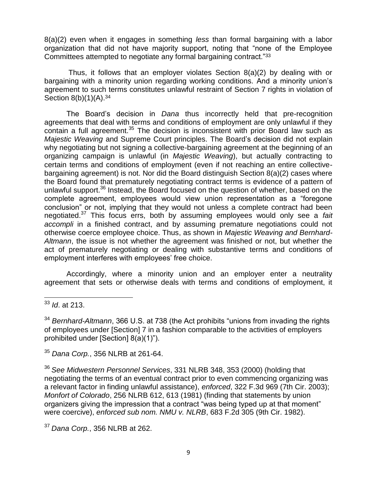8(a)(2) even when it engages in something *less* than formal bargaining with a labor organization that did not have majority support, noting that "none of the Employee Committees attempted to negotiate any formal bargaining contract."<sup>33</sup>

Thus, it follows that an employer violates Section 8(a)(2) by dealing with or bargaining with a minority union regarding working conditions. And a minority union's agreement to such terms constitutes unlawful restraint of Section 7 rights in violation of Section 8(b)(1)(A).<sup>34</sup>

The Board's decision in *Dana* thus incorrectly held that pre-recognition agreements that deal with terms and conditions of employment are only unlawful if they contain a full agreement.<sup>35</sup> The decision is inconsistent with prior Board law such as *Majestic Weaving* and Supreme Court principles. The Board's decision did not explain why negotiating but not signing a collective-bargaining agreement at the beginning of an organizing campaign is unlawful (in *Majestic Weaving*), but actually contracting to certain terms and conditions of employment (even if not reaching an entire collectivebargaining agreement) is not. Nor did the Board distinguish Section 8(a)(2) cases where the Board found that prematurely negotiating contract terms is evidence of a pattern of unlawful support.<sup>36</sup> Instead, the Board focused on the question of whether, based on the complete agreement, employees would view union representation as a "foregone conclusion" or not, implying that they would not unless a complete contract had been negotiated.<sup>37</sup> This focus errs, both by assuming employees would only see a *fait accompli* in a finished contract, and by assuming premature negotiations could not otherwise coerce employee choice. Thus, as shown in *Majestic Weaving and Bernhard-Altmann*, the issue is not whether the agreement was finished or not, but whether the act of prematurely negotiating or dealing with substantive terms and conditions of employment interferes with employees' free choice.

Accordingly, where a minority union and an employer enter a neutrality agreement that sets or otherwise deals with terms and conditions of employment, it

<sup>35</sup> *Dana Corp.*, 356 NLRB at 261-64.

<sup>36</sup> *See Midwestern Personnel Services*, 331 NLRB 348, 353 (2000) (holding that negotiating the terms of an eventual contract prior to even commencing organizing was a relevant factor in finding unlawful assistance), *enforced*, 322 F.3d 969 (7th Cir. 2003); *Monfort of Colorado*, 256 NLRB 612, 613 (1981) (finding that statements by union organizers giving the impression that a contract "was being typed up at that moment" were coercive), *enforced sub nom. NMU v. NLRB*, 683 F.2d 305 (9th Cir. 1982).

<sup>37</sup> *Dana Corp.*, 356 NLRB at 262.

 $\overline{\phantom{a}}$ <sup>33</sup> *Id*. at 213.

<sup>34</sup> *Bernhard-Altmann*, 366 U.S. at 738 (the Act prohibits "unions from invading the rights of employees under [Section] 7 in a fashion comparable to the activities of employers prohibited under [Section] 8(a)(1)").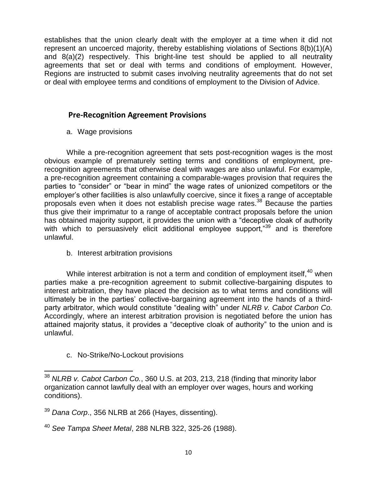establishes that the union clearly dealt with the employer at a time when it did not represent an uncoerced majority, thereby establishing violations of Sections 8(b)(1)(A) and 8(a)(2) respectively. This bright-line test should be applied to all neutrality agreements that set or deal with terms and conditions of employment. However, Regions are instructed to submit cases involving neutrality agreements that do not set or deal with employee terms and conditions of employment to the Division of Advice.

# **Pre-Recognition Agreement Provisions**

a. Wage provisions

While a pre-recognition agreement that sets post-recognition wages is the most obvious example of prematurely setting terms and conditions of employment, prerecognition agreements that otherwise deal with wages are also unlawful. For example, a pre-recognition agreement containing a comparable-wages provision that requires the parties to "consider" or "bear in mind" the wage rates of unionized competitors or the employer's other facilities is also unlawfully coercive, since it fixes a range of acceptable proposals even when it does not establish precise wage rates. <sup>38</sup> Because the parties thus give their imprimatur to a range of acceptable contract proposals before the union has obtained majority support, it provides the union with a "deceptive cloak of authority with which to persuasively elicit additional employee support,"<sup>39</sup> and is therefore unlawful.

b. Interest arbitration provisions

While interest arbitration is not a term and condition of employment itself,  $40$  when parties make a pre-recognition agreement to submit collective-bargaining disputes to interest arbitration, they have placed the decision as to what terms and conditions will ultimately be in the parties' collective-bargaining agreement into the hands of a thirdparty arbitrator, which would constitute "dealing with" under *NLRB v. Cabot Carbon Co.* Accordingly, where an interest arbitration provision is negotiated before the union has attained majority status, it provides a "deceptive cloak of authority" to the union and is unlawful.

c. No-Strike/No-Lockout provisions

 $\overline{\phantom{a}}$ 

<sup>38</sup> *NLRB v. Cabot Carbon Co.*, 360 U.S. at 203, 213, 218 (finding that minority labor organization cannot lawfully deal with an employer over wages, hours and working conditions).

<sup>39</sup> *Dana Corp*., 356 NLRB at 266 (Hayes, dissenting).

<sup>40</sup> *See Tampa Sheet Metal*, 288 NLRB 322, 325-26 (1988).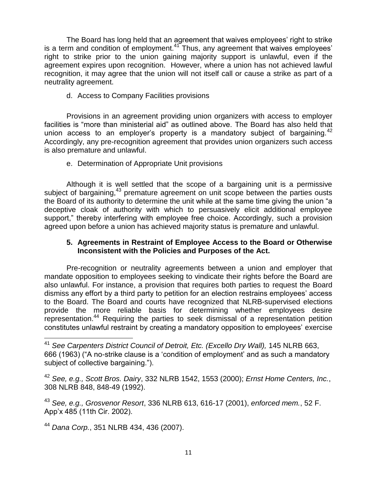The Board has long held that an agreement that waives employees' right to strike is a term and condition of employment.<sup>41</sup> Thus, any agreement that waives employees' right to strike prior to the union gaining majority support is unlawful, even if the agreement expires upon recognition. However, where a union has not achieved lawful recognition, it may agree that the union will not itself call or cause a strike as part of a neutrality agreement.

d. Access to Company Facilities provisions

Provisions in an agreement providing union organizers with access to employer facilities is "more than ministerial aid" as outlined above. The Board has also held that union access to an employer's property is a mandatory subject of bargaining. $42$ Accordingly, any pre-recognition agreement that provides union organizers such access is also premature and unlawful.

e. Determination of Appropriate Unit provisions

Although it is well settled that the scope of a bargaining unit is a permissive subject of bargaining,<sup>43</sup> premature agreement on unit scope between the parties ousts the Board of its authority to determine the unit while at the same time giving the union "a deceptive cloak of authority with which to persuasively elicit additional employee support," thereby interfering with employee free choice. Accordingly, such a provision agreed upon before a union has achieved majority status is premature and unlawful.

#### **5. Agreements in Restraint of Employee Access to the Board or Otherwise Inconsistent with the Policies and Purposes of the Act.**

Pre-recognition or neutrality agreements between a union and employer that mandate opposition to employees seeking to vindicate their rights before the Board are also unlawful. For instance, a provision that requires both parties to request the Board dismiss any effort by a third party to petition for an election restrains employees' access to the Board. The Board and courts have recognized that NLRB-supervised elections provide the more reliable basis for determining whether employees desire representation.<sup>44</sup> Requiring the parties to seek dismissal of a representation petition constitutes unlawful restraint by creating a mandatory opposition to employees' exercise

<sup>44</sup> *Dana Corp.*, 351 NLRB 434, 436 (2007).

 $\overline{\phantom{a}}$ 

<sup>41</sup> *See Carpenters District Council of Detroit, Etc. (Excello Dry Wall),* 145 NLRB 663, 666 (1963) ("A no-strike clause is a 'condition of employment' and as such a mandatory subject of collective bargaining.").

<sup>42</sup> *See, e.g., Scott Bros. Dairy*, 332 NLRB 1542, 1553 (2000); *Ernst Home Centers, Inc.*, 308 NLRB 848, 848-49 (1992).

<sup>43</sup> *See, e.g., Grosvenor Resort*, 336 NLRB 613, 616-17 (2001), *enforced mem.*, 52 F. App'x 485 (11th Cir. 2002).